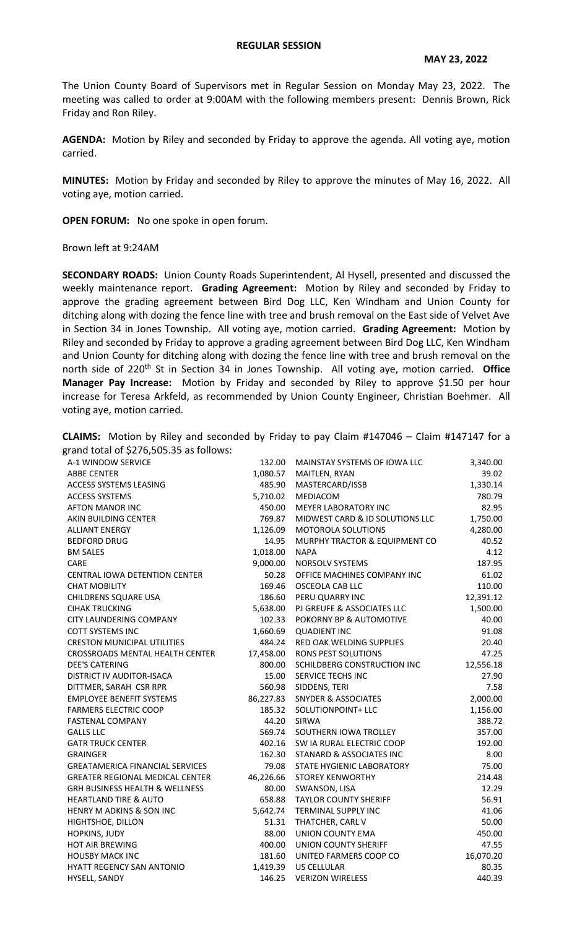## **REGULAR SESSION**

The Union County Board of Supervisors met in Regular Session on Monday May 23, 2022. The meeting was called to order at 9:00AM with the following members present: Dennis Brown, Rick Friday and Ron Riley.

**AGENDA:** Motion by Riley and seconded by Friday to approve the agenda. All voting aye, motion carried.

**MINUTES:** Motion by Friday and seconded by Riley to approve the minutes of May 16, 2022. All voting aye, motion carried.

**OPEN FORUM:** No one spoke in open forum.

Brown left at 9:24AM

**SECONDARY ROADS:** Union County Roads Superintendent, Al Hysell, presented and discussed the weekly maintenance report. **Grading Agreement:** Motion by Riley and seconded by Friday to approve the grading agreement between Bird Dog LLC, Ken Windham and Union County for ditching along with dozing the fence line with tree and brush removal on the East side of Velvet Ave in Section 34 in Jones Township. All voting aye, motion carried. **Grading Agreement:** Motion by Riley and seconded by Friday to approve a grading agreement between Bird Dog LLC, Ken Windham and Union County for ditching along with dozing the fence line with tree and brush removal on the north side of 220<sup>th</sup> St in Section 34 in Jones Township. All voting aye, motion carried. Office **Manager Pay Increase:** Motion by Friday and seconded by Riley to approve \$1.50 per hour increase for Teresa Arkfeld, as recommended by Union County Engineer, Christian Boehmer. All voting aye, motion carried.

|                                         |  | <b>CLAIMS:</b> Motion by Riley and seconded by Friday to pay Claim $\#147046 -$ Claim $\#147147$ for a |  |  |  |  |  |  |
|-----------------------------------------|--|--------------------------------------------------------------------------------------------------------|--|--|--|--|--|--|
| grand total of \$276,505.35 as follows: |  |                                                                                                        |  |  |  |  |  |  |

| si anu tutai ur $\;$ 7270,J0J.JJ as iuliuws. |           |                                 |           |
|----------------------------------------------|-----------|---------------------------------|-----------|
| A-1 WINDOW SERVICE                           | 132.00    | MAINSTAY SYSTEMS OF IOWA LLC    | 3,340.00  |
| <b>ABBE CENTER</b>                           | 1,080.57  | MAITLEN, RYAN                   | 39.02     |
| ACCESS SYSTEMS LEASING                       | 485.90    | MASTERCARD/ISSB                 | 1,330.14  |
| <b>ACCESS SYSTEMS</b>                        | 5,710.02  | MEDIACOM                        | 780.79    |
| <b>AFTON MANOR INC</b>                       | 450.00    | MEYER LABORATORY INC            | 82.95     |
| AKIN BUILDING CENTER                         | 769.87    | MIDWEST CARD & ID SOLUTIONS LLC | 1,750.00  |
| <b>ALLIANT ENERGY</b>                        | 1,126.09  | MOTOROLA SOLUTIONS              | 4,280.00  |
| <b>BEDFORD DRUG</b>                          | 14.95     | MURPHY TRACTOR & EQUIPMENT CO   | 40.52     |
| <b>BM SALES</b>                              | 1,018.00  | <b>NAPA</b>                     | 4.12      |
| CARE                                         | 9,000.00  | NORSOLV SYSTEMS                 | 187.95    |
| CENTRAL IOWA DETENTION CENTER                | 50.28     | OFFICE MACHINES COMPANY INC     | 61.02     |
| <b>CHAT MOBILITY</b>                         | 169.46    | <b>OSCEOLA CAB LLC</b>          | 110.00    |
| CHILDRENS SQUARE USA                         | 186.60    | PERU QUARRY INC                 | 12,391.12 |
| <b>CIHAK TRUCKING</b>                        | 5,638.00  | PJ GREUFE & ASSOCIATES LLC      | 1,500.00  |
| CITY LAUNDERING COMPANY                      | 102.33    | POKORNY BP & AUTOMOTIVE         | 40.00     |
| <b>COTT SYSTEMS INC</b>                      | 1,660.69  | <b>QUADIENT INC</b>             | 91.08     |
| <b>CRESTON MUNICIPAL UTILITIES</b>           | 484.24    | RED OAK WELDING SUPPLIES        | 20.40     |
| CROSSROADS MENTAL HEALTH CENTER              | 17,458.00 | <b>RONS PEST SOLUTIONS</b>      | 47.25     |
| <b>DEE'S CATERING</b>                        | 800.00    | SCHILDBERG CONSTRUCTION INC     | 12,556.18 |
| DISTRICT IV AUDITOR-ISACA                    | 15.00     | SERVICE TECHS INC               | 27.90     |
| DITTMER, SARAH CSR RPR                       |           | 560.98 SIDDENS, TERI            | 7.58      |
| <b>EMPLOYEE BENEFIT SYSTEMS</b>              |           | 86,227.83 SNYDER & ASSOCIATES   | 2,000.00  |
| <b>FARMERS ELECTRIC COOP</b>                 |           | 185.32 SOLUTIONPOINT+ LLC       | 1,156.00  |
| <b>FASTENAL COMPANY</b>                      |           | 44.20 SIRWA                     | 388.72    |
| <b>GALLS LLC</b>                             |           | 569.74 SOUTHERN IOWA TROLLEY    | 357.00    |
| <b>GATR TRUCK CENTER</b>                     | 402.16    | SW IA RURAL ELECTRIC COOP       | 192.00    |
| <b>GRAINGER</b>                              | 162.30    | STANARD & ASSOCIATES INC        | 8.00      |
| <b>GREATAMERICA FINANCIAL SERVICES</b>       | 79.08     | STATE HYGIENIC LABORATORY       | 75.00     |
| <b>GREATER REGIONAL MEDICAL CENTER</b>       | 46,226.66 | <b>STOREY KENWORTHY</b>         | 214.48    |
| GRH BUSINESS HEALTH & WELLNESS               | 80.00     | SWANSON, LISA                   | 12.29     |
| <b>HEARTLAND TIRE &amp; AUTO</b>             | 658.88    | <b>TAYLOR COUNTY SHERIFF</b>    | 56.91     |
| HENRY M ADKINS & SON INC                     | 5,642.74  | TERMINAL SUPPLY INC             | 41.06     |
| HIGHTSHOE, DILLON                            | 51.31     | THATCHER, CARL V                | 50.00     |
| HOPKINS, JUDY                                | 88.00     | UNION COUNTY EMA                | 450.00    |
| <b>HOT AIR BREWING</b>                       | 400.00    | <b>UNION COUNTY SHERIFF</b>     | 47.55     |
| <b>HOUSBY MACK INC</b>                       | 181.60    | UNITED FARMERS COOP CO          | 16,070.20 |
| HYATT REGENCY SAN ANTONIO                    | 1,419.39  | US CELLULAR                     | 80.35     |
| HYSELL, SANDY                                | 146.25    | <b>VERIZON WIRELESS</b>         | 440.39    |